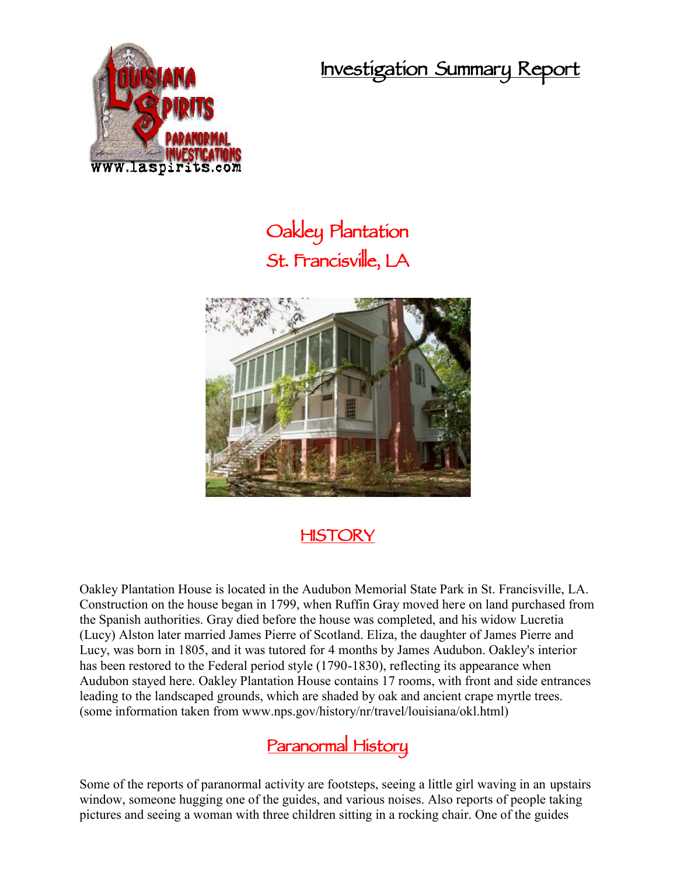**Investigation Summary Report**



## **Oakley Plantation St. Francisville, LA**



## **HISTORY**

Oakley Plantation House is located in the Audubon Memorial State Park in St. Francisville, LA. Construction on the house began in 1799, when Ruffin Gray moved here on land purchased from the Spanish authorities. Gray died before the house was completed, and his widow Lucretia (Lucy) Alston later married James Pierre of Scotland. Eliza, the daughter of James Pierre and Lucy, was born in 1805, and it was tutored for 4 months by James Audubon. Oakley's interior has been restored to the Federal period style (1790-1830), reflecting its appearance when Audubon stayed here. Oakley Plantation House contains 17 rooms, with front and side entrances leading to the landscaped grounds, which are shaded by oak and ancient crape myrtle trees. (some information taken from www.nps.gov/history/nr/travel/louisiana/okl.html)

## **Paranormal History**

Some of the reports of paranormal activity are footsteps, seeing a little girl waving in an upstairs window, someone hugging one of the guides, and various noises. Also reports of people taking pictures and seeing a woman with three children sitting in a rocking chair. One of the guides